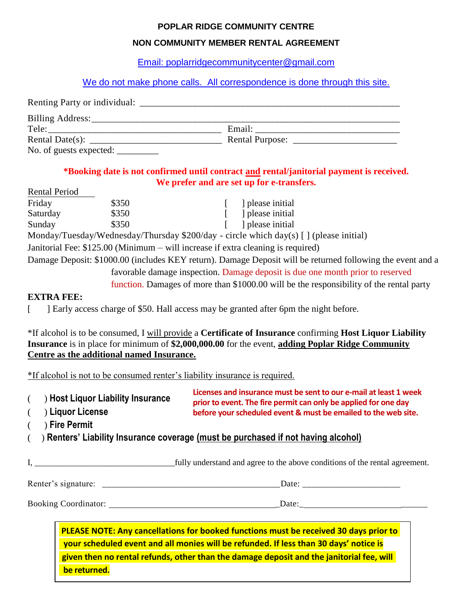### **POPLAR RIDGE COMMUNITY CENTRE**

## **NON COMMUNITY MEMBER RENTAL AGREEMENT**

[Email: poplarridgecommunitycenter@gmail.com](mailto:poplarridgecommunitycenter@gmail.com) 

We do not make phone calls. All correspondence is done through this site.

| Renting Party or individual:     |        |  |
|----------------------------------|--------|--|
|                                  |        |  |
| Tele:                            | Email: |  |
|                                  |        |  |
| No. of guests expected: ________ |        |  |

# **\*Booking date is not confirmed until contract and rental/janitorial payment is received. We prefer and are set up for e-transfers.**

| <b>Rental Period</b> |       |                                                                                                            |
|----------------------|-------|------------------------------------------------------------------------------------------------------------|
| Friday               | \$350 | please initial                                                                                             |
| Saturday             | \$350 | I please initial                                                                                           |
| Sunday               | \$350 | I please initial                                                                                           |
|                      |       | Monday/Tuesday/Wednesday/Thursday \$200/day - circle which day(s) [] (please initial)                      |
|                      |       | Janitorial Fee: \$125.00 (Minimum – will increase if extra cleaning is required)                           |
|                      |       | Damage Deposit: \$1000.00 (includes KEY return). Damage Deposit will be returned following the event and a |
|                      |       | favorable damage inspection. Damage deposit is due one month prior to reserved                             |
|                      |       | function. Damages of more than \$1000.00 will be the responsibility of the rental party                    |

## **EXTRA FEE:**

[ ] Early access charge of \$50. Hall access may be granted after 6pm the night before.

\*If alcohol is to be consumed, I will provide a **Certificate of Insurance** confirming **Host Liquor Liability Insurance** is in place for minimum of **\$2,000,000.00** for the event, **adding Poplar Ridge Community Centre as the additional named Insurance.** 

\*If alcohol is not to be consumed renter's liability insurance is required.

| ( ) Host Liquor Liability Insurance<br>) Liquor License<br>$\left($<br>) Fire Permit<br>$\left($ | Licenses and insurance must be sent to our e-mail at least 1 week<br>prior to event. The fire permit can only be applied for one day<br>before your scheduled event & must be emailed to the web site. |
|--------------------------------------------------------------------------------------------------|--------------------------------------------------------------------------------------------------------------------------------------------------------------------------------------------------------|
|                                                                                                  | () Renters' Liability Insurance coverage (must be purchased if not having alcohol)                                                                                                                     |
|                                                                                                  | I, fully understand and agree to the above conditions of the rental agreement.                                                                                                                         |
|                                                                                                  |                                                                                                                                                                                                        |
|                                                                                                  |                                                                                                                                                                                                        |
|                                                                                                  |                                                                                                                                                                                                        |

**PLEASE NOTE: Any cancellations for booked functions must be received 30 days prior to your scheduled event and all monies will be refunded. If less than 30 days' notice is given then no rental refunds, other than the damage deposit and the janitorial fee, will be returned.**